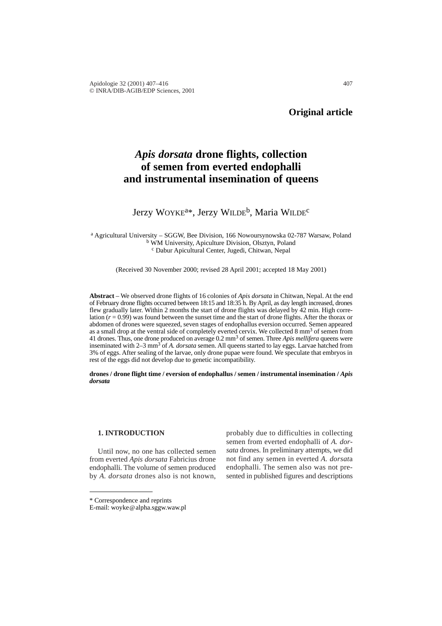# *Apis dorsata* **drone flights, collection of semen from everted endophalli and instrumental insemination of queens**

## Jerzy WOYKE<sup>a\*</sup>, Jerzy WILDE<sup>b</sup>, Maria WILDE<sup>c</sup>

<sup>a</sup> Agricultural University – SGGW, Bee Division, 166 Nowoursynowska 02-787 Warsaw, Poland <sup>b</sup> WM University, Apiculture Division, Olsztyn, Poland <sup>c</sup> Dabur Apicultural Center, Jugedi, Chitwan, Nepal

(Received 30 November 2000; revised 28 April 2001; accepted 18 May 2001)

**Abstract** – We observed drone flights of 16 colonies of *Apis dorsata* in Chitwan, Nepal. At the end of February drone flights occurred between 18:15 and 18:35 h. By April, as day length increased, drones flew gradually later. Within 2 months the start of drone flights was delayed by 42 min. High correlation (*r* = 0.99) was found between the sunset time and the start of drone flights. After the thorax or abdomen of drones were squeezed, seven stages of endophallus eversion occurred. Semen appeared as a small drop at the ventral side of completely everted cervix. We collected 8 mm<sup>3</sup> of semen from 41 drones. Thus, one drone produced on average 0.2 mm3 of semen. Three *Apis mellifera* queens were inseminated with 2–3 mm3 of *A. dorsata* semen. All queens started to lay eggs. Larvae hatched from 3% of eggs. After sealing of the larvae, only drone pupae were found. We speculate that embryos in rest of the eggs did not develop due to genetic incompatibility.

**drones / drone flight time / eversion of endophallus / semen / instrumental insemination /** *Apis dorsata*

#### **1. INTRODUCTION**

Until now, no one has collected semen from everted *Apis dorsata* Fabricius drone endophalli. The volume of semen produced by *A. dorsata* drones also is not known,

probably due to difficulties in collecting semen from everted endophalli of *A. dorsata* drones. In preliminary attempts, we did not find any semen in everted *A. dorsat*a endophalli. The semen also was not presented in published figures and descriptions

<sup>\*</sup> Correspondence and reprints

E-mail: woyke@alpha.sggw.waw.pl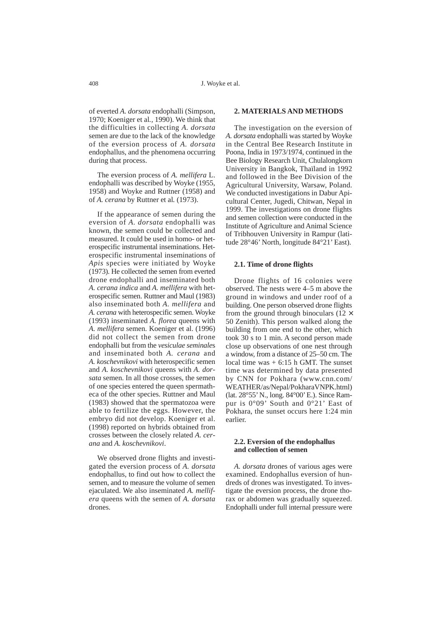of everted *A. dorsata* endophalli (Simpson, 1970; Koeniger et al*.,* 1990). We think that the difficulties in collecting *A. dorsata* semen are due to the lack of the knowledge of the eversion process of *A. dorsata* endophallus, and the phenomena occurring during that process.

The eversion process of *A. mellifera* L. endophalli was described by Woyke (1955, 1958) and Woyke and Ruttner (1958) and of *A. cerana* by Ruttner et al*.* (1973).

If the appearance of semen during the eversion of *A. dorsata* endophalli was known, the semen could be collected and measured. It could be used in homo- or heterospecific instrumental inseminations. Heterospecific instrumental inseminations of *Apis* species were initiated by Woyke (1973). He collected the semen from everted drone endophalli and inseminated both *A. cerana indica* and *A. mellifera* with heterospecific semen. Ruttner and Maul (1983) also inseminated both *A. mellifera* and *A. cerana* with heterospecific semen. Woyke (1993) inseminated *A. florea* queens with *A. mellifera* semen. Koeniger et al. (1996) did not collect the semen from drone endophalli but from the *vesiculae seminale*s and inseminated both *A. cerana* and *A. koschevnikovi* with heterospecific semen and *A. koschevnikovi* queens with *A. dorsata* semen. In all those crosses, the semen of one species entered the queen spermatheca of the other species. Ruttner and Maul (1983) showed that the spermatozoa were able to fertilize the eggs. However, the embryo did not develop. Koeniger et al. (1998) reported on hybrids obtained from crosses between the closely related *A. cerana* and *A. koschevnikovi*.

We observed drone flights and investigated the eversion process of *A. dorsata* endophallus, to find out how to collect the semen, and to measure the volume of semen ejaculated. We also inseminated *A. mellifera* queens with the semen of *A. dorsata* drones.

## **2. MATERIALS AND METHODS**

The investigation on the eversion of *A. dorsata* endophalli was started by Woyke in the Central Bee Research Institute in Poona, India in 1973/1974, continued in the Bee Biology Research Unit, Chulalongkorn University in Bangkok, Thaïland in 1992 and followed in the Bee Division of the Agricultural University, Warsaw, Poland. We conducted investigations in Dabur Apicultural Center, Jugedi, Chitwan, Nepal in 1999. The investigations on drone flights and semen collection were conducted in the Institute of Agriculture and Animal Science of Tribhouven University in Rampur (latitude 28°46' North, longitude 84°21' East).

## **2.1. Time of drone flights**

Drone flights of 16 colonies were observed. The nests were 4–5 m above the ground in windows and under roof of a building. One person observed drone flights from the ground through binoculars ( $12 \times$ 50 Zenith). This person walked along the building from one end to the other, which took 30 s to 1 min. A second person made close up observations of one nest through a window, from a distance of 25–50 cm. The local time was  $+ 6:15$  h GMT. The sunset time was determined by data presented by CNN for Pokhara (www.cnn.com/ WEATHER/as/Nepal/PokharaVNPK.html) (lat. 28°55' N., long. 84°00' E.). Since Rampur is 0°09' South and 0°21' East of Pokhara, the sunset occurs here 1:24 min earlier.

#### **2.2. Eversion of the endophallus and collection of semen**

*A. dorsata* drones of various ages were examined. Endophallus eversion of hundreds of drones was investigated. To investigate the eversion process, the drone thorax or abdomen was gradually squeezed. Endophalli under full internal pressure were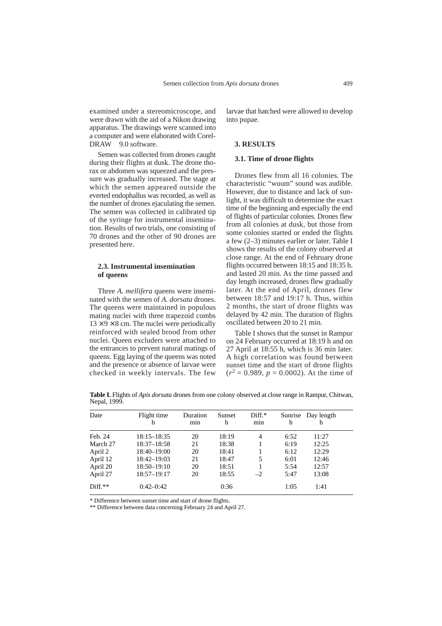examined under a stereomicroscope, and were drawn with the aid of a Nikon drawing apparatus. The drawings were scanned into a computer and were elaborated with Corel-DRAW<sup>©</sup> 9.0 software.

Semen was collected from drones caught during their flights at dusk. The drone thorax or abdomen was squeezed and the pressure was gradually increased. The stage at which the semen appeared outside the everted endophallus was recorded, as well as the number of drones ejaculating the semen. The semen was collected in calibrated tip of the syringe for instrumental insemination. Results of two trials, one consisting of 70 drones and the other of 90 drones are presented here.

#### **2.3. Instrumental insemination of queens**

Three *A. mellifera* queens were inseminated with the semen of *A. dorsata* drones. The queens were maintained in populous mating nuclei with three trapezoid combs  $13 \times 9 \times 8$  cm. The nuclei were periodically reinforced with sealed brood from other nuclei. Queen excluders were attached to the entrances to prevent natural matings of queens. Egg laying of the queens was noted and the presence or absence of larvae were checked in weekly intervals. The few larvae that hatched were allowed to develop into pupae.

#### **3. RESULTS**

## **3.1. Time of drone flights**

Drones flew from all 16 colonies. The characteristic "wuum" sound was audible. However, due to distance and lack of sunlight, it was difficult to determine the exact time of the beginning and especially the end of flights of particular colonies. Drones flew from all colonies at dusk, but those from some colonies started or ended the flights a few (2–3) minutes earlier or later. Table I shows the results of the colony observed at close range. At the end of February drone flights occurred between 18:15 and 18:35 h. and lasted 20 min. As the time passed and day length increased, drones flew gradually later. At the end of April, drones flew between 18:57 and 19:17 h. Thus, within 2 months, the start of drone flights was delayed by 42 min. The duration of flights oscillated between 20 to 21 min.

Table I shows that the sunset in Rampur on 24 February occurred at 18:19 h and on 27 April at 18:55 h, which is 36 min later. A high correlation was found between sunset time and the start of drone flights  $(r^2 = 0.989, p = 0.0002)$ . At the time of

**Table I.** Flights of *Apis dorsata* drones from one colony observed at close range in Rampur, Chitwan, Nepal, 1999.

| Date      | Flight time<br>h | Duration<br>m <sub>1</sub> n | Sunset<br>h | $Diff.*$<br>min | h    | Sunrise Day length<br>h |
|-----------|------------------|------------------------------|-------------|-----------------|------|-------------------------|
| Feb. 24   | 18:15–18:35      | 20                           | 18:19       | 4               | 6:52 | 11:27                   |
| March 27  | 18:37-18:58      | 21                           | 18:38       |                 | 6:19 | 12:25                   |
| April 2   | 18:40-19:00      | 20                           | 18:41       |                 | 6:12 | 12:29                   |
| April 12  | 18:42–19:03      | 21                           | 18:47       | 5               | 6:01 | 12:46                   |
| April 20  | 18:50-19:10      | 20                           | 18:51       |                 | 5:54 | 12:57                   |
| April 27  | 18:57-19:17      | 20                           | 18:55       | $-2$            | 5:47 | 13:08                   |
| $Diff.**$ | $0:42-0:42$      |                              | 0:36        |                 | 1:05 | 1:41                    |

\* Difference between sunset time and start of drone flights.

\*\* Difference between data concerning February 24 and April 27.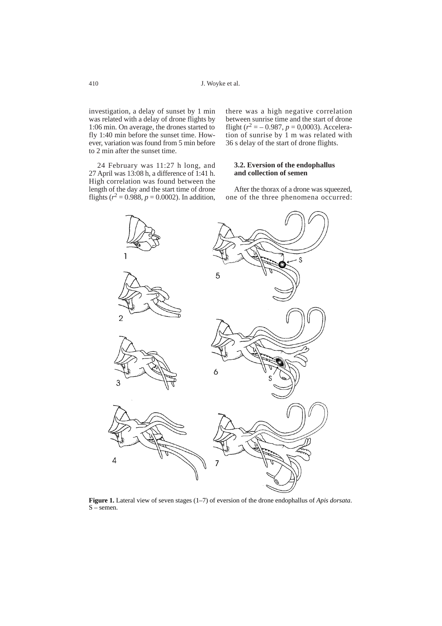investigation, a delay of sunset by 1 min was related with a delay of drone flights by 1:06 min. On average, the drones started to fly 1:40 min before the sunset time. However, variation was found from 5 min before to 2 min after the sunset time.

24 February was 11:27 h long, and 27 April was 13:08 h, a difference of 1:41 h. High correlation was found between the length of the day and the start time of drone flights ( $r^2 = 0.988$ ,  $p = 0.0002$ ). In addition,

there was a high negative correlation between sunrise time and the start of drone flight ( $r^2 = -0.987$ ,  $p = 0,0003$ ). Acceleration of sunrise by 1 m was related with 36 s delay of the start of drone flights.

#### **3.2. Eversion of the endophallus and collection of semen**

After the thorax of a drone was squeezed, one of the three phenomena occurred:



**Figure 1.** Lateral view of seven stages (1–7) of eversion of the drone endophallus of *Apis dorsata*.  $S$  – semen.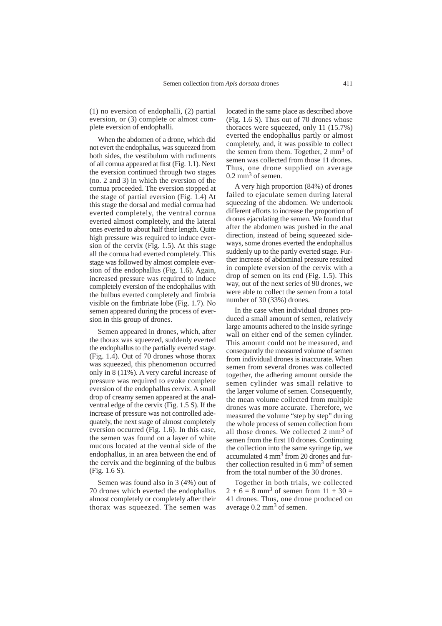(1) no eversion of endophalli, (2) partial eversion, or (3) complete or almost complete eversion of endophalli.

When the abdomen of a drone, which did not evert the endophallus, was squeezed from both sides, the vestibulum with rudiments of all cornua appeared at first (Fig. 1.1). Next the eversion continued through two stages (no. 2 and 3) in which the eversion of the cornua proceeded. The eversion stopped at the stage of partial eversion (Fig. 1.4) At this stage the dorsal and medial cornua had everted completely, the ventral cornua everted almost completely, and the lateral ones everted to about half their length. Quite high pressure was required to induce eversion of the cervix (Fig. 1.5). At this stage all the cornua had everted completely. This stage was followed by almost complete eversion of the endophallus (Fig. 1.6). Again, increased pressure was required to induce completely eversion of the endophallus with the bulbus everted completely and fimbria visible on the fimbriate lobe (Fig. 1.7). No semen appeared during the process of eversion in this group of drones.

Semen appeared in drones, which, after the thorax was squeezed, suddenly everted the endophallus to the partially everted stage. (Fig. 1.4). Out of 70 drones whose thorax was squeezed, this phenomenon occurred only in 8 (11%). A very careful increase of pressure was required to evoke complete eversion of the endophallus cervix. A small drop of creamy semen appeared at the analventral edge of the cervix (Fig. 1.5 S). If the increase of pressure was not controlled adequately, the next stage of almost completely eversion occurred (Fig. 1.6). In this case, the semen was found on a layer of white mucous located at the ventral side of the endophallus, in an area between the end of the cervix and the beginning of the bulbus (Fig. 1.6 S).

Semen was found also in 3 (4%) out of 70 drones which everted the endophallus almost completely or completely after their thorax was squeezed. The semen was

located in the same place as described above (Fig. 1.6 S). Thus out of 70 drones whose thoraces were squeezed, only 11 (15.7%) everted the endophallus partly or almost completely, and, it was possible to collect the semen from them. Together,  $2 \text{ mm}^3$  of semen was collected from those 11 drones. Thus, one drone supplied on average  $0.2 \text{ mm}^3$  of semen.

A very high proportion (84%) of drones failed to ejaculate semen during lateral squeezing of the abdomen. We undertook different efforts to increase the proportion of drones ejaculating the semen. We found that after the abdomen was pushed in the anal direction, instead of being squeezed sideways, some drones everted the endophallus suddenly up to the partly everted stage. Further increase of abdominal pressure resulted in complete eversion of the cervix with a drop of semen on its end (Fig. 1.5). This way, out of the next series of 90 drones, we were able to collect the semen from a total number of 30 (33%) drones.

In the case when individual drones produced a small amount of semen, relatively large amounts adhered to the inside syringe wall on either end of the semen cylinder. This amount could not be measured, and consequently the measured volume of semen from individual drones is inaccurate. When semen from several drones was collected together, the adhering amount outside the semen cylinder was small relative to the larger volume of semen. Consequently, the mean volume collected from multiple drones was more accurate. Therefore, we measured the volume "step by step" during the whole process of semen collection from all those drones. We collected 2 mm<sup>3</sup> of semen from the first 10 drones. Continuing the collection into the same syringe tip, we accumulated 4 mm3 from 20 drones and further collection resulted in  $6 \text{ mm}^3$  of semen from the total number of the 30 drones.

Together in both trials, we collected  $2 + 6 = 8$  mm<sup>3</sup> of semen from  $11 + 30 =$ 41 drones. Thus, one drone produced on average  $0.2$  mm<sup>3</sup> of semen.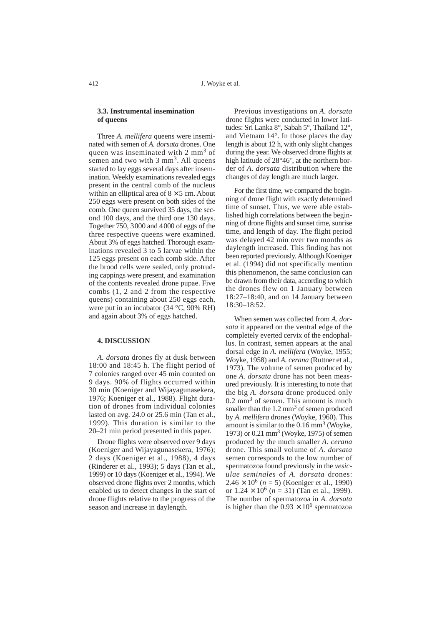## **3.3. Instrumental insemination of queens**

Three *A. mellifera* queens were inseminated with semen of *A. dorsata* drones. One queen was inseminated with 2 mm<sup>3</sup> of semen and two with  $3 \text{ mm}^3$ . All queens started to lay eggs several days after insemination. Weekly examinations revealed eggs present in the central comb of the nucleus within an elliptical area of  $8 \times 5$  cm. About 250 eggs were present on both sides of the comb. One queen survived 35 days, the second 100 days, and the third one 130 days. Together 750, 3000 and 4000 of eggs of the three respective queens were examined. About 3% of eggs hatched. Thorough examinations revealed 3 to 5 larvae within the 125 eggs present on each comb side. After the brood cells were sealed, only protruding cappings were present, and examination of the contents revealed drone pupae. Five combs (1, 2 and 2 from the respective queens) containing about 250 eggs each, were put in an incubator (34 °C, 90% RH) and again about 3% of eggs hatched.

#### **4. DISCUSSION**

*A. dorsata* drones fly at dusk between 18:00 and 18:45 h. The flight period of 7 colonies ranged over 45 min counted on 9 days. 90% of flights occurred within 30 min (Koeniger and Wijayagunasekera, 1976; Koeniger et al., 1988). Flight duration of drones from individual colonies lasted on avg. 24.0 or 25.6 min (Tan et al., 1999)*.* This duration is similar to the 20–21 min period presented in this paper.

Drone flights were observed over 9 days (Koeniger and Wijayagunasekera, 1976); 2 days (Koeniger et al., 1988), 4 days (Rinderer et al., 1993); 5 days (Tan et al., 1999) or 10 days (Koeniger et al., 1994). We observed drone flights over 2 months, which enabled us to detect changes in the start of drone flights relative to the progress of the season and increase in daylength.

Previous investigations on *A. dorsata* drone flights were conducted in lower latitudes: Sri Lanka 8°, Sabah 5°, Thailand 12°, and Vietnam 14°. In those places the day length is about 12 h, with only slight changes during the year. We observed drone flights at high latitude of 28°46', at the northern border of *A. dorsata* distribution where the changes of day length are much larger.

For the first time, we compared the beginning of drone flight with exactly determined time of sunset. Thus, we were able established high correlations between the beginning of drone flights and sunset time, sunrise time, and length of day. The flight period was delayed 42 min over two months as daylength increased. This finding has not been reported previously. Although Koeniger et al. (1994) did not specifically mention this phenomenon, the same conclusion can be drawn from their data, according to which the drones flew on 1 January between 18:27–18:40, and on 14 January between 18:30–18:52.

When semen was collected from *A. dorsata* it appeared on the ventral edge of the completely everted cervix of the endophallus. In contrast, semen appears at the anal dorsal edge in *A. mellifera* (Woyke, 1955; Woyke, 1958) and *A. cerana* (Ruttner et al., 1973). The volume of semen produced by one *A. dorsata* drone has not been measured previously. It is interesting to note that the big *A. dorsata* drone produced only  $0.2$  mm<sup>3</sup> of semen. This amount is much smaller than the  $1.2 \text{ mm}^3$  of semen produced by *A. mellifera* drones (Woyke, 1960). This amount is similar to the  $0.16$  mm<sup>3</sup> (Woyke, 1973) or 0.21 mm<sup>3</sup> (Woyke, 1975) of semen produced by the much smaller *A. cerana* drone. This small volume of *A. dorsata* semen corresponds to the low number of spermatozoa found previously in the *vesiculae seminales* of *A. dorsata* drones:  $2.46 \times 10^6$  (*n* = 5) (Koeniger et al., 1990) or  $1.24 \times 10^6$  ( $n = 31$ ) (Tan et al., 1999). The number of spermatozoa in *A. dorsata* is higher than the  $0.93 \times 10^6$  spermatozoa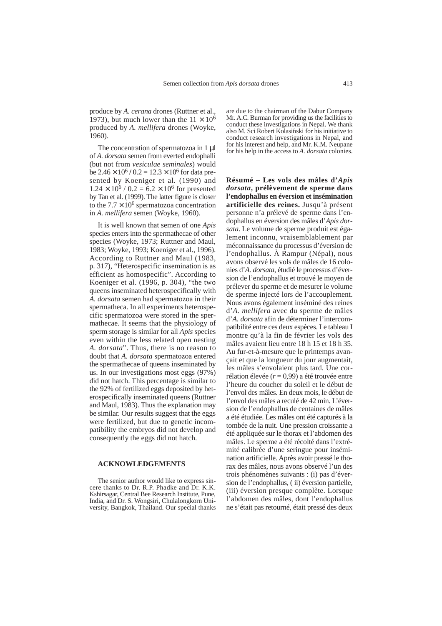produce by *A. cerana* drones (Ruttner et al., 1973), but much lower than the  $11 \times 10^6$ produced by *A. mellifera* drones (Woyke, 1960).

The concentration of spermatozoa in 1 µl of *A. dorsata* semen from everted endophalli (but not from *vesiculae seminales*) would be  $2.46 \times 10^6$  / 0.2 =  $12.3 \times 10^6$  for data presented by Koeniger et al*.* (1990) and  $1.24 \times 10^6$  /  $0.2 = 6.2 \times 10^6$  for presented by Tan et al. (1999). The latter figure is closer to the  $7.7 \times 10^6$  spermatozoa concentration in *A. mellifera* semen (Woyke, 1960).

It is well known that semen of one *Apis* species enters into the spermathecae of other species (Woyke, 1973; Ruttner and Maul, 1983; Woyke, 1993; Koeniger et al., 1996). According to Ruttner and Maul (1983, p. 317), "Heterospecific insemination is as efficient as homospecific". According to Koeniger et al. (1996, p. 304), "the two queens inseminated heterospecifically with *A. dorsata* semen had spermatozoa in their spermatheca. In all experiments heterospecific spermatozoa were stored in the spermathecae. It seems that the physiology of sperm storage is similar for all *Apis* species even within the less related open nesting *A. dorsata*". Thus, there is no reason to doubt that *A. dorsata* spermatozoa entered the spermathecae of queens inseminated by us. In our investigations most eggs (97%) did not hatch. This percentage is similar to the 92% of fertilized eggs deposited by heterospecifically inseminated queens (Ruttner and Maul, 1983). Thus the explanation may be similar. Our results suggest that the eggs were fertilized, but due to genetic incompatibility the embryos did not develop and consequently the eggs did not hatch.

#### **ACKNOWLEDGEMENTS**

The senior author would like to express sincere thanks to Dr. R.P. Phadke and Dr. K.K. Kshirsagar, Central Bee Research Institute, Pune, India, and Dr. S. Wongsiri, Chulalongkorn University, Bangkok, Thailand. Our special thanks

are due to the chairman of the Dabur Company Mr. A.C. Burman for providing us the facilities to conduct these investigations in Nepal. We thank also M. Sci Robert Kolasiński for his initiative to conduct research investigations in Nepal, and for his interest and help, and Mr. K.M. Neupane for his help in the access to *A. dorsata* colonies.

**Résumé – Les vols des mâles d'***Apis dorsata***, prélèvement de sperme dans l'endophallus en éversion et insémination artificielle des reines.** Jusqu'à présent personne n'a prélevé de sperme dans l'endophallus en éversion des mâles d'*Apis dorsata*. Le volume de sperme produit est également inconnu, vraisemblablement par méconnaissance du processus d'éversion de l'endophallus. À Rampur (Népal), nous avons observé les vols de mâles de 16 colonies d'*A. dorsata*, étudié le processus d'éversion de l'endophallus et trouvé le moyen de prélever du sperme et de mesurer le volume de sperme injecté lors de l'accouplement. Nous avons également inséminé des reines d'*A. mellifera* avec du sperme de mâles d'*A. dorsata* afin de déterminer l'intercompatibilité entre ces deux espèces. Le tableau I montre qu'à la fin de février les vols des mâles avaient lieu entre 18 h 15 et 18 h 35. Au fur-et-à-mesure que le printemps avançait et que la longueur du jour augmentait, les mâles s'envolaient plus tard. Une corrélation élevée (*r* = 0,99) a été trouvée entre l'heure du coucher du soleil et le début de l'envol des mâles. En deux mois, le début de l'envol des mâles a reculé de 42 min. L'éversion de l'endophallus de centaines de mâles a été étudiée. Les mâles ont été capturés à la tombée de la nuit. Une pression croissante a été appliquée sur le thorax et l'abdomen des mâles. Le sperme a été récolté dans l'extrémité calibrée d'une seringue pour insémination artificielle. Après avoir pressé le thorax des mâles, nous avons observé l'un des trois phénomènes suivants : (i) pas d'éversion de l'endophallus, ( ii) éversion partielle, (iii) éversion presque complète. Lorsque l'abdomen des mâles, dont l'endophallus ne s'était pas retourné, était pressé des deux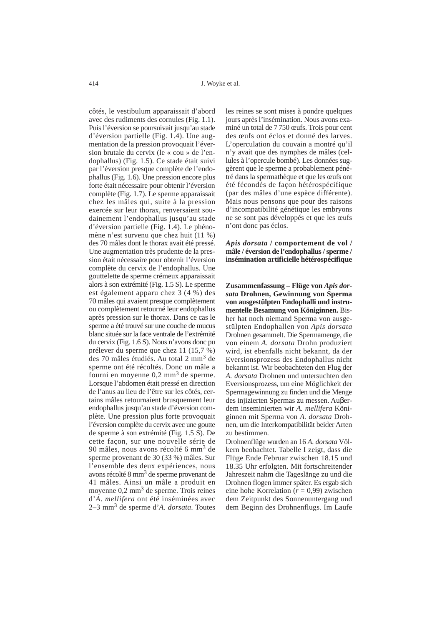côtés, le vestibulum apparaissait d'abord avec des rudiments des cornules (Fig. 1.1). Puis l'éversion se poursuivait jusqu'au stade d'éversion partielle (Fig. 1.4). Une augmentation de la pression provoquait l'éversion brutale du cervix (le « cou » de l'endophallus) (Fig. 1.5). Ce stade était suivi par l'éversion presque complète de l'endophallus (Fig. 1.6). Une pression encore plus forte était nécessaire pour obtenir l'éversion complète (Fig. 1.7). Le sperme apparaissait chez les mâles qui, suite à la pression exercée sur leur thorax, renversaient soudainement l'endophallus jusqu'au stade d'éversion partielle (Fig. 1.4). Le phénomène n'est survenu que chez huit (11 %) des 70 mâles dont le thorax avait été pressé. Une augmentation très prudente de la pression était nécessaire pour obtenir l'éversion complète du cervix de l'endophallus. Une gouttelette de sperme crémeux apparaissait alors à son extrémité (Fig. 1.5 S). Le sperme est également apparu chez 3 (4 %) des 70 mâles qui avaient presque complètement ou complètement retourné leur endophallus après pression sur le thorax. Dans ce cas le sperme a été trouvé sur une couche de mucus blanc située sur la face ventrale de l'extrémité du cervix (Fig. 1.6 S). Nous n'avons donc pu prélever du sperme que chez 11 (15,7 %) des 70 mâles étudiés. Au total 2 mm<sup>3</sup> de sperme ont été récoltés. Donc un mâle a fourni en moyenne 0,2 mm3 de sperme. Lorsque l'abdomen était pressé en direction de l'anus au lieu de l'être sur les côtés, certains mâles retournaient brusquement leur endophallus jusqu'au stade d'éversion complète. Une pression plus forte provoquait l'éversion complète du cervix avec une goutte de sperme à son extrémité (Fig. 1.5 S). De cette façon, sur une nouvelle série de 90 mâles, nous avons récolté 6 mm<sup>3</sup> de sperme provenant de 30 (33 %) mâles. Sur l'ensemble des deux expériences, nous avons récolté 8 mm3 de sperme provenant de 41 mâles. Ainsi un mâle a produit en moyenne 0,2 mm<sup>3</sup> de sperme. Trois reines d'*A*. *mellifera* ont été inséminées avec 2–3 mm<sup>3</sup> de sperme d'*A. dorsata*. Toutes

les reines se sont mises à pondre quelques jours après l'insémination. Nous avons examiné un total de 7 750 œufs. Trois pour cent des œufs ont éclos et donné des larves. L'operculation du couvain a montré qu'il n'y avait que des nymphes de mâles (cellules à l'opercule bombé). Les données suggèrent que le sperme a probablement pénétré dans la spermathèque et que les œufs ont été fécondés de façon hétérospécifique (par des mâles d'une espèce différente). Mais nous pensons que pour des raisons d'incompatibilité génétique les embryons ne se sont pas développés et que les œufs n'ont donc pas éclos.

*Apis dorsata* **/ comportement de vol / mâle / éversion de l'endophallus / sperme / insémination artificielle hétérospécifique**

Zusammenfassung – Flüge von *Apis dorsata* **Drohnen, Gewinnung von Sperma von ausgestülpten Endophalli und instrumentelle Besamung von Königinnen.** Bisher hat noch niemand Sperma von ausgestülpten Endophallen von *Apis dorsata* Drohnen gesammelt. Die Spermamenge, die von einem *A. dorsata* Drohn produziert wird, ist ebenfalls nicht bekannt, da der Eversionsprozess des Endophallus nicht bekannt ist. Wir beobachteten den Flug der *A. dorsata* Drohnen und untersuchten den Eversionsprozess, um eine Möglichkeit der Spermagewinnung zu finden und die Menge des injizierten Spermas zu messen. Auβerdem inseminierten wir *A. mellifera* Königinnen mit Sperma von *A. dorsata* Drohnen, um die Interkompatibilität beider Arten zu bestimmen.

Drohnenflüge wurden an 16 *A. dorsata* Völkern beobachtet. Tabelle I zeigt, dass die Flüge Ende Februar zwischen 18.15 und 18.35 Uhr erfolgten. Mit fortschreitender Jahreszeit nahm die Tageslänge zu und die Drohnen flogen immer später. Es ergab sich eine hohe Korrelation (*r* = 0,99) zwischen dem Zeitpunkt des Sonnenuntergang und dem Beginn des Drohnenflugs. Im Laufe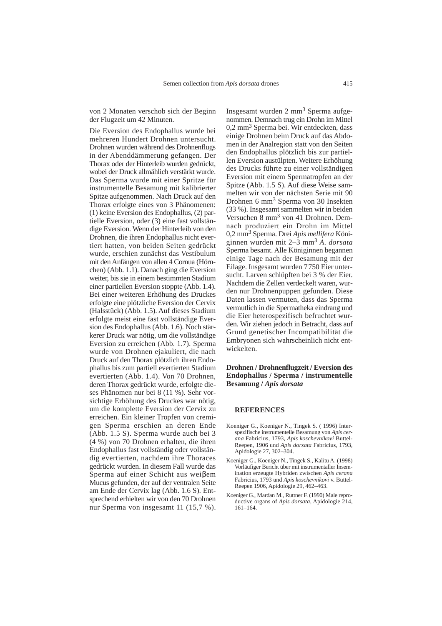von 2 Monaten verschob sich der Beginn der Flugzeit um 42 Minuten.

Die Eversion des Endophallus wurde bei mehreren Hundert Drohnen untersucht. Drohnen wurden während des Drohnenflugs in der Abenddämmerung gefangen. Der Thorax oder der Hinterleib wurden gedrückt, wobei der Druck allmählich verstärkt wurde. Das Sperma wurde mit einer Spritze für instrumentelle Besamung mit kalibrierter Spitze aufgenommen. Nach Druck auf den Thorax erfolgte eines von 3 Phänomenen: (1) keine Eversion des Endophallus, (2) partielle Eversion, oder (3) eine fast vollständige Eversion. Wenn der Hinterleib von den Drohnen, die ihren Endophallus nicht evertiert hatten, von beiden Seiten gedrückt wurde, erschien zunächst das Vestibulum mit den Anfängen von allen 4 Cornua (Hörnchen) (Abb. 1.1). Danach ging die Eversion weiter, bis sie in einem bestimmten Stadium einer partiellen Eversion stoppte (Abb. 1.4). Bei einer weiteren Erhöhung des Druckes erfolgte eine plötzliche Eversion der Cervix (Halsstück) (Abb. 1.5). Auf dieses Stadium erfolgte meist eine fast vollständige Eversion des Endophallus (Abb. 1.6). Noch stärkerer Druck war nötig, um die vollständige Eversion zu erreichen (Abb. 1.7). Sperma wurde von Drohnen ejakuliert, die nach Druck auf den Thorax plötzlich ihren Endophallus bis zum partiell evertierten Stadium evertierten (Abb. 1.4). Von 70 Drohnen, deren Thorax gedrückt wurde, erfolgte dieses Phänomen nur bei 8 (11 %). Sehr vorsichtige Erhöhung des Druckes war nötig, um die komplette Eversion der Cervix zu erreichen. Ein kleiner Tropfen von cremigen Sperma erschien an deren Ende (Abb. 1.5 S). Sperma wurde auch bei 3 (4 %) von 70 Drohnen erhalten, die ihren Endophallus fast vollständig oder vollständig evertierten, nachdem ihre Thoraces gedrückt wurden. In diesem Fall wurde das Sperma auf einer Schicht aus weiβem Mucus gefunden, der auf der ventralen Seite am Ende der Cervix lag (Abb. 1.6 S). Entsprechend erhielten wir von den 70 Drohnen nur Sperma von insgesamt 11 (15,7 %).

Insgesamt wurden 2 mm<sup>3</sup> Sperma aufgenommen. Demnach trug ein Drohn im Mittel 0,2 mm3 Sperma bei. Wir entdeckten, dass einige Drohnen beim Druck auf das Abdomen in der Analregion statt von den Seiten den Endophallus plötzlich bis zur partiellen Eversion austülpten. Weitere Erhöhung des Drucks führte zu einer vollständigen Eversion mit einem Spermatropfen an der Spitze (Abb. 1.5 S). Auf diese Weise sammelten wir von der nächsten Serie mit 90 Drohnen 6 mm<sup>3</sup> Sperma von 30 Insekten (33 %). Insgesamt sammelten wir in beiden Versuchen 8 mm<sup>3</sup> von 41 Drohnen. Demnach produziert ein Drohn im Mittel 0,2 mm3 Sperma. Drei *Apis mellifera* Königinnen wurden mit 2–3 mm<sup>3</sup> *A. dorsata* Sperma besamt. Alle Königinnen begannen einige Tage nach der Besamung mit der Eilage. Insgesamt wurden 7750 Eier untersucht. Larven schlüpften bei 3 % der Eier. Nachdem die Zellen verdeckelt waren, wurden nur Drohnenpuppen gefunden. Diese Daten lassen vermuten, dass das Sperma vermutlich in die Spermatheka eindrang und die Eier heterospezifisch befruchtet wurden. Wir ziehen jedoch in Betracht, dass auf Grund genetischer Incompatibilität die Embryonen sich wahrscheinlich nicht entwickelten.

## **Drohnen / Drohnenflugzeit / Eversion des Endophallus / Sperma / instrumentelle Besamung /** *Apis dorsata*

#### **REFERENCES**

- Koeniger G., Koeniger N., Tingek S. ( 1996) Interspezifische instrumentelle Besamung von *Apis cerana* Fabricius, 1793, *Apis koschevnikovi* Buttel-Reepen, 1906 und *Apis dorsata* Fabricius, 1793, Apidologie 27, 302–304.
- Koeniger G., Koeniger N., Tingek S., Kalitu A. (1998) Vorläufiger Bericht über mit instrumentaller Insemination erzeugte Hybriden zwischen *Apis cerana* Fabricius, 1793 und *Apis koschevnikovi* v. Buttel-Reepen 1906, Apidologie 29, 462–463.
- Koeniger G., Mardan M., Ruttner F. (1990) Male reproductive organs of *Apis dorsata,* Apidologie 214, 161–164.